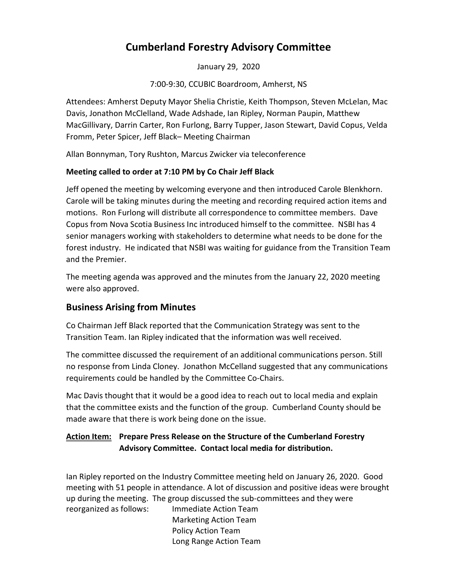# Cumberland Forestry Advisory Committee

January 29, 2020

7:00-9:30, CCUBIC Boardroom, Amherst, NS

Attendees: Amherst Deputy Mayor Shelia Christie, Keith Thompson, Steven McLelan, Mac Davis, Jonathon McClelland, Wade Adshade, Ian Ripley, Norman Paupin, Matthew MacGillivary, Darrin Carter, Ron Furlong, Barry Tupper, Jason Stewart, David Copus, Velda Fromm, Peter Spicer, Jeff Black– Meeting Chairman

Allan Bonnyman, Tory Rushton, Marcus Zwicker via teleconference

### Meeting called to order at 7:10 PM by Co Chair Jeff Black

Jeff opened the meeting by welcoming everyone and then introduced Carole Blenkhorn. Carole will be taking minutes during the meeting and recording required action items and motions. Ron Furlong will distribute all correspondence to committee members. Dave Copus from Nova Scotia Business Inc introduced himself to the committee. NSBI has 4 senior managers working with stakeholders to determine what needs to be done for the forest industry. He indicated that NSBI was waiting for guidance from the Transition Team and the Premier.

The meeting agenda was approved and the minutes from the January 22, 2020 meeting were also approved.

# Business Arising from Minutes

Co Chairman Jeff Black reported that the Communication Strategy was sent to the Transition Team. Ian Ripley indicated that the information was well received.

The committee discussed the requirement of an additional communications person. Still no response from Linda Cloney. Jonathon McCelland suggested that any communications requirements could be handled by the Committee Co-Chairs.

Mac Davis thought that it would be a good idea to reach out to local media and explain that the committee exists and the function of the group. Cumberland County should be made aware that there is work being done on the issue.

### **Action Item:** Prepare Press Release on the Structure of the Cumberland Forestry Advisory Committee. Contact local media for distribution.

Ian Ripley reported on the Industry Committee meeting held on January 26, 2020. Good meeting with 51 people in attendance. A lot of discussion and positive ideas were brought up during the meeting. The group discussed the sub-committees and they were reorganized as follows: Immediate Action Team

 Marketing Action Team Policy Action Team Long Range Action Team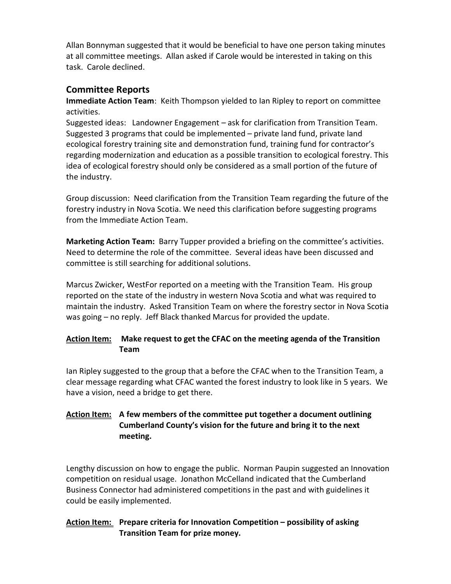Allan Bonnyman suggested that it would be beneficial to have one person taking minutes at all committee meetings. Allan asked if Carole would be interested in taking on this task. Carole declined.

## Committee Reports

Immediate Action Team: Keith Thompson yielded to Ian Ripley to report on committee activities.

Suggested ideas: Landowner Engagement – ask for clarification from Transition Team. Suggested 3 programs that could be implemented – private land fund, private land ecological forestry training site and demonstration fund, training fund for contractor's regarding modernization and education as a possible transition to ecological forestry. This idea of ecological forestry should only be considered as a small portion of the future of the industry.

Group discussion: Need clarification from the Transition Team regarding the future of the forestry industry in Nova Scotia. We need this clarification before suggesting programs from the Immediate Action Team.

Marketing Action Team: Barry Tupper provided a briefing on the committee's activities. Need to determine the role of the committee. Several ideas have been discussed and committee is still searching for additional solutions.

Marcus Zwicker, WestFor reported on a meeting with the Transition Team. His group reported on the state of the industry in western Nova Scotia and what was required to maintain the industry. Asked Transition Team on where the forestry sector in Nova Scotia was going – no reply. Jeff Black thanked Marcus for provided the update.

### Action Item: Make request to get the CFAC on the meeting agenda of the Transition Team

Ian Ripley suggested to the group that a before the CFAC when to the Transition Team, a clear message regarding what CFAC wanted the forest industry to look like in 5 years. We have a vision, need a bridge to get there.

### Action Item: A few members of the committee put together a document outlining Cumberland County's vision for the future and bring it to the next meeting.

Lengthy discussion on how to engage the public. Norman Paupin suggested an Innovation competition on residual usage. Jonathon McCelland indicated that the Cumberland Business Connector had administered competitions in the past and with guidelines it could be easily implemented.

### Action Item: Prepare criteria for Innovation Competition - possibility of asking Transition Team for prize money.